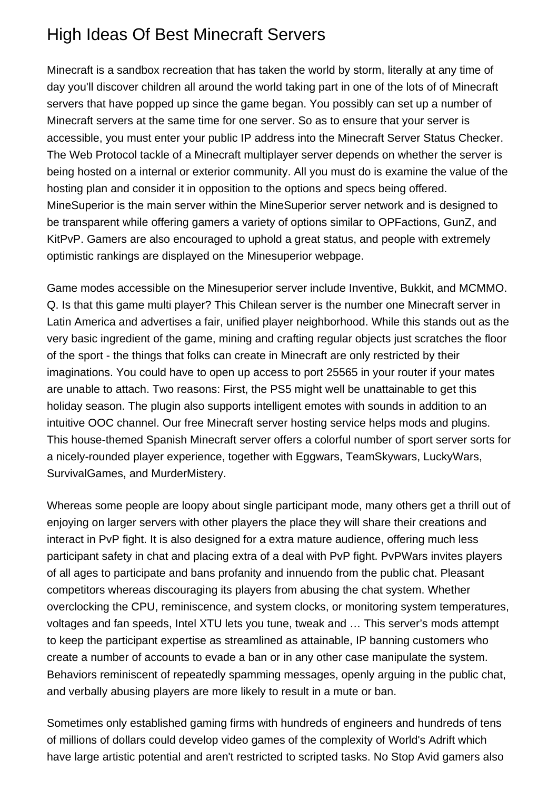## High Ideas Of Best Minecraft Servers

Minecraft is a sandbox recreation that has taken the world by storm, literally at any time of day you'll discover children all around the world taking part in one of the lots of of Minecraft servers that have popped up since the game began. You possibly can set up a number of Minecraft servers at the same time for one server. So as to ensure that your server is accessible, you must enter your public IP address into the Minecraft Server Status Checker. The Web Protocol tackle of a Minecraft multiplayer server depends on whether the server is being hosted on a internal or exterior community. All you must do is examine the value of the hosting plan and consider it in opposition to the options and specs being offered. MineSuperior is the main server within the MineSuperior server network and is designed to be transparent while offering gamers a variety of options similar to OPFactions, GunZ, and KitPvP. Gamers are also encouraged to uphold a great status, and people with extremely optimistic rankings are displayed on the Minesuperior webpage.

Game modes accessible on the Minesuperior server include Inventive, Bukkit, and MCMMO. Q. Is that this game multi player? This Chilean server is the number one Minecraft server in Latin America and advertises a fair, unified player neighborhood. While this stands out as the very basic ingredient of the game, mining and crafting regular objects just scratches the floor of the sport - the things that folks can create in Minecraft are only restricted by their imaginations. You could have to open up access to port 25565 in your router if your mates are unable to attach. Two reasons: First, the PS5 might well be unattainable to get this holiday season. The plugin also supports intelligent emotes with sounds in addition to an intuitive OOC channel. Our free Minecraft server hosting service helps mods and plugins. This house-themed Spanish Minecraft server offers a colorful number of sport server sorts for a nicely-rounded player experience, together with Eggwars, TeamSkywars, LuckyWars, SurvivalGames, and MurderMistery.

Whereas some people are loopy about single participant mode, many others get a thrill out of enjoying on larger servers with other players the place they will share their creations and interact in PvP fight. It is also designed for a extra mature audience, offering much less participant safety in chat and placing extra of a deal with PvP fight. PvPWars invites players of all ages to participate and bans profanity and innuendo from the public chat. Pleasant competitors whereas discouraging its players from abusing the chat system. Whether overclocking the CPU, reminiscence, and system clocks, or monitoring system temperatures, voltages and fan speeds, Intel XTU lets you tune, tweak and … This server's mods attempt to keep the participant expertise as streamlined as attainable, IP banning customers who create a number of accounts to evade a ban or in any other case manipulate the system. Behaviors reminiscent of repeatedly spamming messages, openly arguing in the public chat, and verbally abusing players are more likely to result in a mute or ban.

Sometimes only established gaming firms with hundreds of engineers and hundreds of tens of millions of dollars could develop video games of the complexity of World's Adrift which have large artistic potential and aren't restricted to scripted tasks. No Stop Avid gamers also